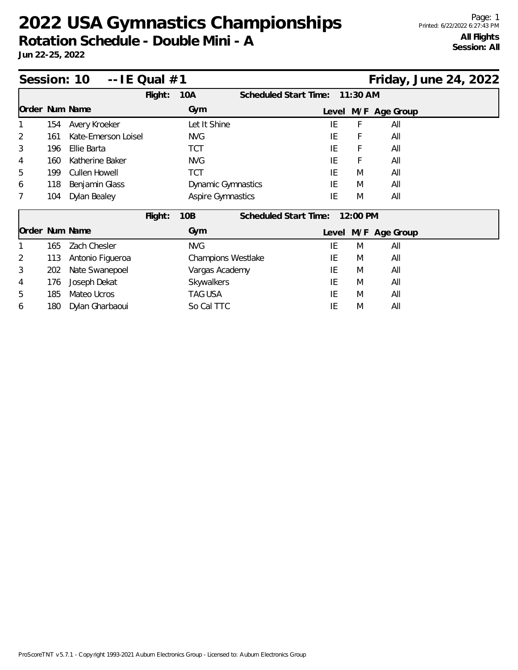## **2022 USA Gymnastics Championships**

**Rotation Schedule - Double Mini - A**

**Jun 22-25, 2022**

| Session: 10<br>-- IE Qual #1 |     |                      |         |                           |                              |       |            | Friday, June 24, 2022 |  |
|------------------------------|-----|----------------------|---------|---------------------------|------------------------------|-------|------------|-----------------------|--|
|                              |     |                      | Flight: | 10A                       | <b>Scheduled Start Time:</b> |       | $11:30$ AM |                       |  |
| Order Num Name               |     |                      |         | Gym                       |                              | Level |            | M/F Age Group         |  |
|                              | 154 | Avery Kroeker        |         | Let It Shine              |                              | IE    | F          | All                   |  |
| 2                            | 161 | Kate-Emerson Loisel  |         | <b>NVG</b>                |                              | IE    | F          | All                   |  |
| 3                            | 196 | Ellie Barta          |         | TCT                       |                              | IE    | F          | All                   |  |
| 4                            | 160 | Katherine Baker      |         | <b>NVG</b>                |                              | IE    | F          | All                   |  |
| 5                            | 199 | <b>Cullen Howell</b> |         | TCT                       |                              | IE    | M          | All                   |  |
| 6                            | 118 | Benjamin Glass       |         | <b>Dynamic Gymnastics</b> |                              | IE    | M          | All                   |  |
| 7                            | 104 | Dylan Bealey         |         | <b>Aspire Gymnastics</b>  |                              | IE    | M          | All                   |  |
|                              |     |                      | Flight: | 10B                       | Scheduled Start Time:        |       | 12:00 PM   |                       |  |
| Order Num Name               |     |                      |         | Gym                       |                              | Level |            | M/F Age Group         |  |
|                              | 165 | Zach Chesler         |         | <b>NVG</b>                |                              | IE    | M          | All                   |  |
| 2                            | 113 | Antonio Figueroa     |         | Champions Westlake        |                              | IE    | M          | All                   |  |
| 3                            | 202 | Nate Swanepoel       |         | Vargas Academy            |                              | IE    | M          | All                   |  |
| 4                            | 176 | Joseph Dekat         |         | Skywalkers                |                              | IE    | M          | All                   |  |
| 5                            | 185 | Mateo Ucros          |         | TAG USA                   |                              | IE    | M          | All                   |  |
| 6                            | 180 | Dylan Gharbaoui      |         | So Cal TTC                |                              | IE    | M          | All                   |  |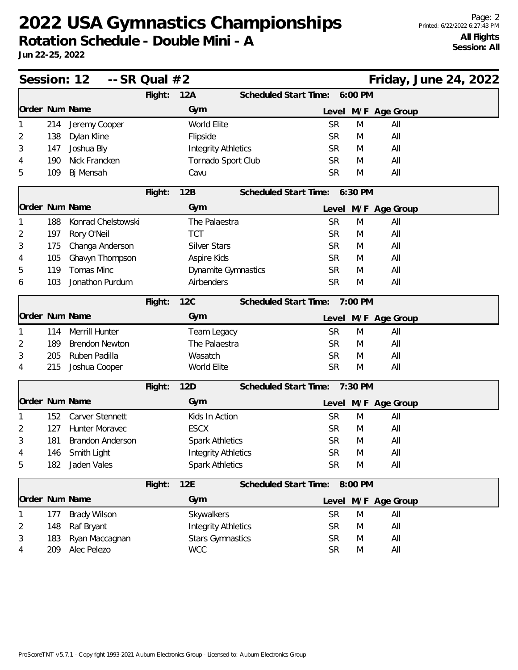## **2022 USA Gymnastics Championships**

**Rotation Schedule - Double Mini - A**

**Jun 22-25, 2022**

|   |     | Session: 12<br>$-$ SR Qual $#2$ |         |                            |                               |           |         | Friday, June 24, 2022 |  |  |
|---|-----|---------------------------------|---------|----------------------------|-------------------------------|-----------|---------|-----------------------|--|--|
|   |     |                                 | Flight: | 12A                        | Scheduled Start Time: 6:00 PM |           |         |                       |  |  |
|   |     | Order Num Name                  |         | Gym                        |                               | Level     |         | M/F Age Group         |  |  |
|   | 214 | Jeremy Cooper                   |         | World Elite                |                               | <b>SR</b> | M       | All                   |  |  |
| 2 | 138 | Dylan Kline                     |         | Flipside                   |                               | <b>SR</b> | M       | All                   |  |  |
| 3 | 147 | Joshua Bly                      |         | <b>Integrity Athletics</b> |                               | <b>SR</b> | M       | All                   |  |  |
| 4 | 190 | Nick Francken                   |         | Tornado Sport Club         |                               | <b>SR</b> | M       | All                   |  |  |
| 5 | 109 | Bj Mensah                       |         | Cavu                       |                               | <b>SR</b> | M       | All                   |  |  |
|   |     |                                 | Flight: | 12B                        | Scheduled Start Time: 6:30 PM |           |         |                       |  |  |
|   |     | Order Num Name                  |         | Gym                        |                               |           |         | Level M/F Age Group   |  |  |
|   | 188 | Konrad Chelstowski              |         | The Palaestra              |                               | <b>SR</b> | M       | All                   |  |  |
| 2 | 197 | Rory O'Neil                     |         | <b>TCT</b>                 |                               | <b>SR</b> | M       | All                   |  |  |
| 3 | 175 | Changa Anderson                 |         | <b>Silver Stars</b>        |                               | <b>SR</b> | M       | All                   |  |  |
|   | 105 | Ghavyn Thompson                 |         | Aspire Kids                |                               | <b>SR</b> | M       | All                   |  |  |
| 5 | 119 | Tomas Minc                      |         | Dynamite Gymnastics        |                               | <b>SR</b> | M       | All                   |  |  |
| 6 | 103 | Jonathon Purdum                 |         | Airbenders                 |                               | <b>SR</b> | M       | All                   |  |  |
|   |     |                                 | Flight: | <b>12C</b>                 | Scheduled Start Time:         |           | 7:00 PM |                       |  |  |
|   |     | Order Num Name                  |         | Gym                        |                               | Level     |         | M/F Age Group         |  |  |
|   | 114 | Merrill Hunter                  |         | Team Legacy                |                               | <b>SR</b> | M       | All                   |  |  |
| 2 | 189 | <b>Brendon Newton</b>           |         | The Palaestra              |                               | <b>SR</b> | M       | All                   |  |  |
| 3 | 205 | Ruben Padilla                   |         | Wasatch                    |                               | <b>SR</b> | M       | All                   |  |  |
| 4 | 215 | Joshua Cooper                   |         | World Elite                |                               | <b>SR</b> | M       | All                   |  |  |
|   |     |                                 | Flight: | 12D                        | Scheduled Start Time:         |           | 7:30 PM |                       |  |  |
|   |     | Order Num Name                  |         | Gym                        |                               |           |         | Level M/F Age Group   |  |  |
|   | 152 | Carver Stennett                 |         | Kids In Action             |                               | <b>SR</b> | M       | All                   |  |  |
| 2 | 127 | Hunter Moravec                  |         | <b>ESCX</b>                |                               | <b>SR</b> | M       | All                   |  |  |
| 3 | 181 | <b>Brandon Anderson</b>         |         | <b>Spark Athletics</b>     |                               | <b>SR</b> | M       | All                   |  |  |
| 4 | 146 | Smith Light                     |         | <b>Integrity Athletics</b> |                               | <b>SR</b> | M       | All                   |  |  |
| 5 | 182 | Jaden Vales                     |         | <b>Spark Athletics</b>     |                               | <b>SR</b> | M       | All                   |  |  |
|   |     |                                 | Flight: | 12E                        | Scheduled Start Time: 8:00 PM |           |         |                       |  |  |
|   |     | Order Num Name                  |         | Gym                        |                               | Level     |         | M/F Age Group         |  |  |
|   | 177 | <b>Brady Wilson</b>             |         | Skywalkers                 |                               | <b>SR</b> | M       | All                   |  |  |
| 2 | 148 | Raf Bryant                      |         | <b>Integrity Athletics</b> |                               | <b>SR</b> | M       | All                   |  |  |
| 3 | 183 | Ryan Maccagnan                  |         | <b>Stars Gymnastics</b>    |                               | <b>SR</b> | M       | All                   |  |  |
| 4 | 209 | Alec Pelezo                     |         | <b>WCC</b>                 |                               | <b>SR</b> | M       | All                   |  |  |